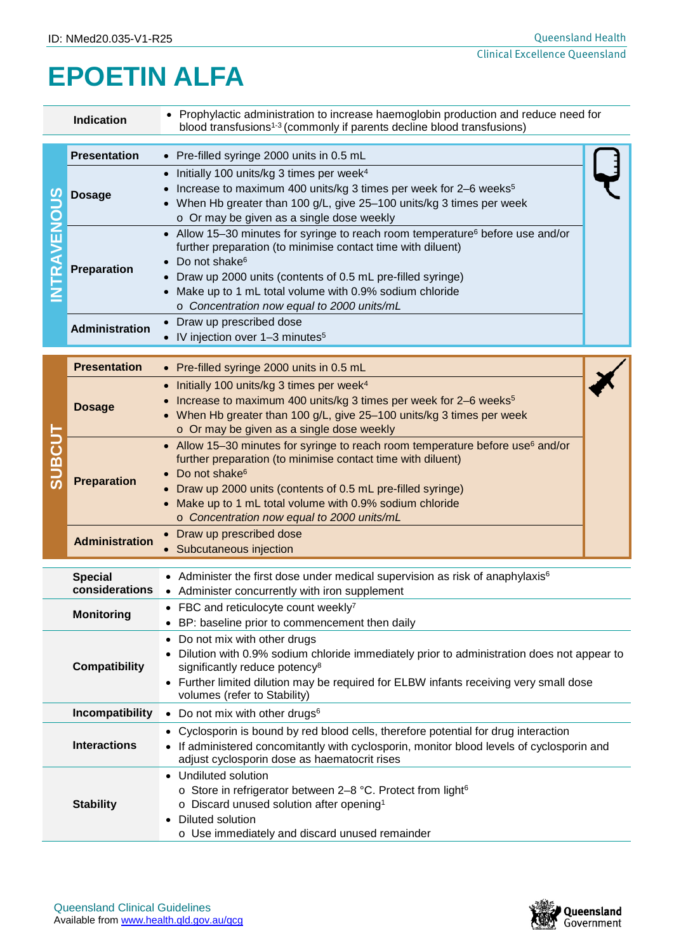## **EPOETIN ALFA**

| <b>Indication</b>                                                                                                                                                                                                                                     |                                  | • Prophylactic administration to increase haemoglobin production and reduce need for<br>blood transfusions <sup>1-3</sup> (commonly if parents decline blood transfusions)                                                                                                                                                                                              |  |  |  |  |
|-------------------------------------------------------------------------------------------------------------------------------------------------------------------------------------------------------------------------------------------------------|----------------------------------|-------------------------------------------------------------------------------------------------------------------------------------------------------------------------------------------------------------------------------------------------------------------------------------------------------------------------------------------------------------------------|--|--|--|--|
| <b>AVENOUS</b>                                                                                                                                                                                                                                        | <b>Presentation</b>              | • Pre-filled syringe 2000 units in 0.5 mL                                                                                                                                                                                                                                                                                                                               |  |  |  |  |
|                                                                                                                                                                                                                                                       | <b>Dosage</b>                    | Initially 100 units/kg 3 times per week <sup>4</sup><br>$\bullet$<br>Increase to maximum 400 units/kg 3 times per week for 2-6 weeks <sup>5</sup><br>When Hb greater than 100 g/L, give 25-100 units/kg 3 times per week<br>o Or may be given as a single dose weekly                                                                                                   |  |  |  |  |
|                                                                                                                                                                                                                                                       | <b>Preparation</b>               | • Allow 15–30 minutes for syringe to reach room temperature <sup>6</sup> before use and/or<br>further preparation (to minimise contact time with diluent)<br>Do not shake <sup>6</sup><br>Draw up 2000 units (contents of 0.5 mL pre-filled syringe)<br>Make up to 1 mL total volume with 0.9% sodium chloride<br>o Concentration now equal to 2000 units/mL            |  |  |  |  |
|                                                                                                                                                                                                                                                       | <b>Administration</b>            | Draw up prescribed dose<br>IV injection over 1-3 minutes <sup>5</sup>                                                                                                                                                                                                                                                                                                   |  |  |  |  |
| <b>TUDSUE</b>                                                                                                                                                                                                                                         | <b>Presentation</b>              | • Pre-filled syringe 2000 units in 0.5 mL                                                                                                                                                                                                                                                                                                                               |  |  |  |  |
|                                                                                                                                                                                                                                                       | <b>Dosage</b>                    | Initially 100 units/kg 3 times per week <sup>4</sup><br>$\bullet$<br>Increase to maximum 400 units/kg 3 times per week for 2-6 weeks <sup>5</sup><br>When Hb greater than 100 g/L, give 25-100 units/kg 3 times per week<br>o Or may be given as a single dose weekly                                                                                                   |  |  |  |  |
|                                                                                                                                                                                                                                                       | <b>Preparation</b>               | Allow 15-30 minutes for syringe to reach room temperature before use <sup>6</sup> and/or<br>$\bullet$<br>further preparation (to minimise contact time with diluent)<br>Do not shake <sup>6</sup><br>Draw up 2000 units (contents of 0.5 mL pre-filled syringe)<br>Make up to 1 mL total volume with 0.9% sodium chloride<br>o Concentration now equal to 2000 units/mL |  |  |  |  |
|                                                                                                                                                                                                                                                       | <b>Administration</b>            | Draw up prescribed dose<br>$\bullet$<br>Subcutaneous injection                                                                                                                                                                                                                                                                                                          |  |  |  |  |
|                                                                                                                                                                                                                                                       | <b>Special</b><br>considerations | • Administer the first dose under medical supervision as risk of anaphylaxis $6$<br>• Administer concurrently with iron supplement                                                                                                                                                                                                                                      |  |  |  |  |
| Monitorina                                                                                                                                                                                                                                            |                                  | • FBC and reticulocyte count weekly <sup>7</sup><br>BP: baseline prior to commencement then daily                                                                                                                                                                                                                                                                       |  |  |  |  |
| <b>Compatibility</b>                                                                                                                                                                                                                                  |                                  | Do not mix with other drugs<br>Dilution with 0.9% sodium chloride immediately prior to administration does not appear to<br>significantly reduce potency <sup>8</sup><br>Further limited dilution may be required for ELBW infants receiving very small dose<br>volumes (refer to Stability)                                                                            |  |  |  |  |
| Incompatibility                                                                                                                                                                                                                                       |                                  | Do not mix with other drugs <sup>6</sup>                                                                                                                                                                                                                                                                                                                                |  |  |  |  |
| <b>Interactions</b>                                                                                                                                                                                                                                   |                                  | Cyclosporin is bound by red blood cells, therefore potential for drug interaction<br>If administered concomitantly with cyclosporin, monitor blood levels of cyclosporin and<br>adjust cyclosporin dose as haematocrit rises                                                                                                                                            |  |  |  |  |
| Undiluted solution<br>o Store in refrigerator between 2-8 °C. Protect from light <sup>6</sup><br><b>Stability</b><br>$\circ$ Discard unused solution after opening <sup>1</sup><br>Diluted solution<br>o Use immediately and discard unused remainder |                                  |                                                                                                                                                                                                                                                                                                                                                                         |  |  |  |  |